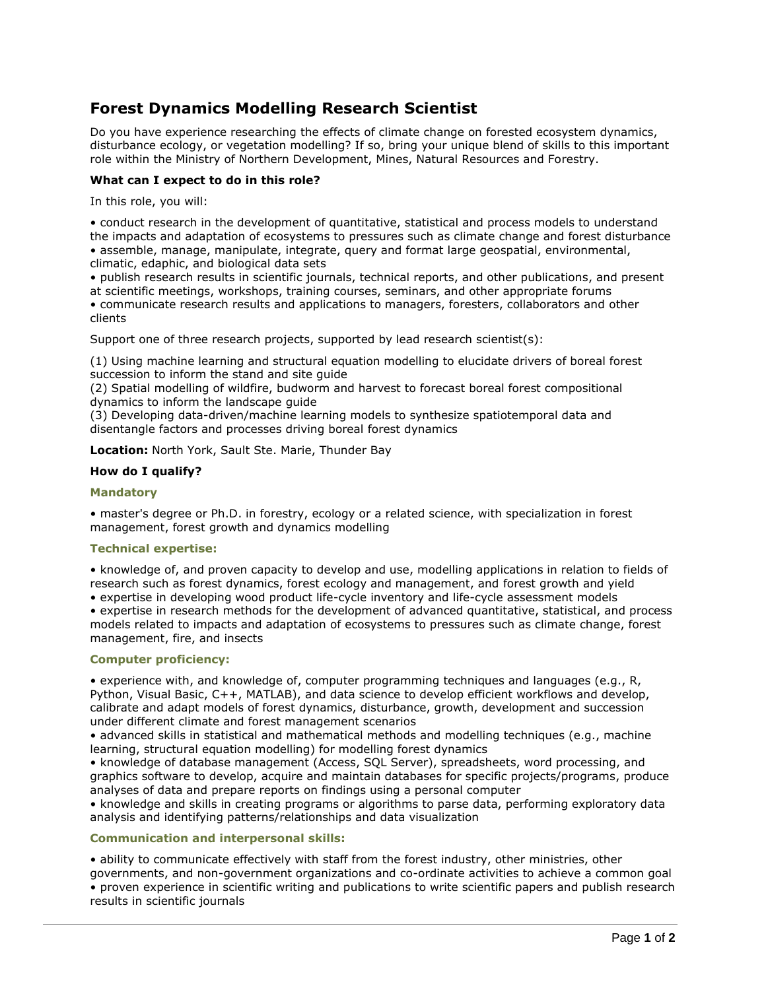# **Forest Dynamics Modelling Research Scientist**

Do you have experience researching the effects of climate change on forested ecosystem dynamics, disturbance ecology, or vegetation modelling? If so, bring your unique blend of skills to this important role within the Ministry of Northern Development, Mines, Natural Resources and Forestry.

### **What can I expect to do in this role?**

In this role, you will:

• conduct research in the development of quantitative, statistical and process models to understand the impacts and adaptation of ecosystems to pressures such as climate change and forest disturbance • assemble, manage, manipulate, integrate, query and format large geospatial, environmental, climatic, edaphic, and biological data sets

• publish research results in scientific journals, technical reports, and other publications, and present at scientific meetings, workshops, training courses, seminars, and other appropriate forums • communicate research results and applications to managers, foresters, collaborators and other clients

Support one of three research projects, supported by lead research scientist(s):

(1) Using machine learning and structural equation modelling to elucidate drivers of boreal forest succession to inform the stand and site guide

(2) Spatial modelling of wildfire, budworm and harvest to forecast boreal forest compositional dynamics to inform the landscape guide

(3) Developing data-driven/machine learning models to synthesize spatiotemporal data and disentangle factors and processes driving boreal forest dynamics

**Location:** North York, Sault Ste. Marie, Thunder Bay

### **How do I qualify?**

#### **Mandatory**

• master's degree or Ph.D. in forestry, ecology or a related science, with specialization in forest management, forest growth and dynamics modelling

### **Technical expertise:**

• knowledge of, and proven capacity to develop and use, modelling applications in relation to fields of research such as forest dynamics, forest ecology and management, and forest growth and yield

• expertise in developing wood product life-cycle inventory and life-cycle assessment models

• expertise in research methods for the development of advanced quantitative, statistical, and process models related to impacts and adaptation of ecosystems to pressures such as climate change, forest management, fire, and insects

### **Computer proficiency:**

• experience with, and knowledge of, computer programming techniques and languages (e.g., R, Python, Visual Basic, C++, MATLAB), and data science to develop efficient workflows and develop, calibrate and adapt models of forest dynamics, disturbance, growth, development and succession under different climate and forest management scenarios

• advanced skills in statistical and mathematical methods and modelling techniques (e.g., machine learning, structural equation modelling) for modelling forest dynamics

• knowledge of database management (Access, SQL Server), spreadsheets, word processing, and graphics software to develop, acquire and maintain databases for specific projects/programs, produce analyses of data and prepare reports on findings using a personal computer

• knowledge and skills in creating programs or algorithms to parse data, performing exploratory data analysis and identifying patterns/relationships and data visualization

### **Communication and interpersonal skills:**

• ability to communicate effectively with staff from the forest industry, other ministries, other governments, and non-government organizations and co-ordinate activities to achieve a common goal • proven experience in scientific writing and publications to write scientific papers and publish research results in scientific journals